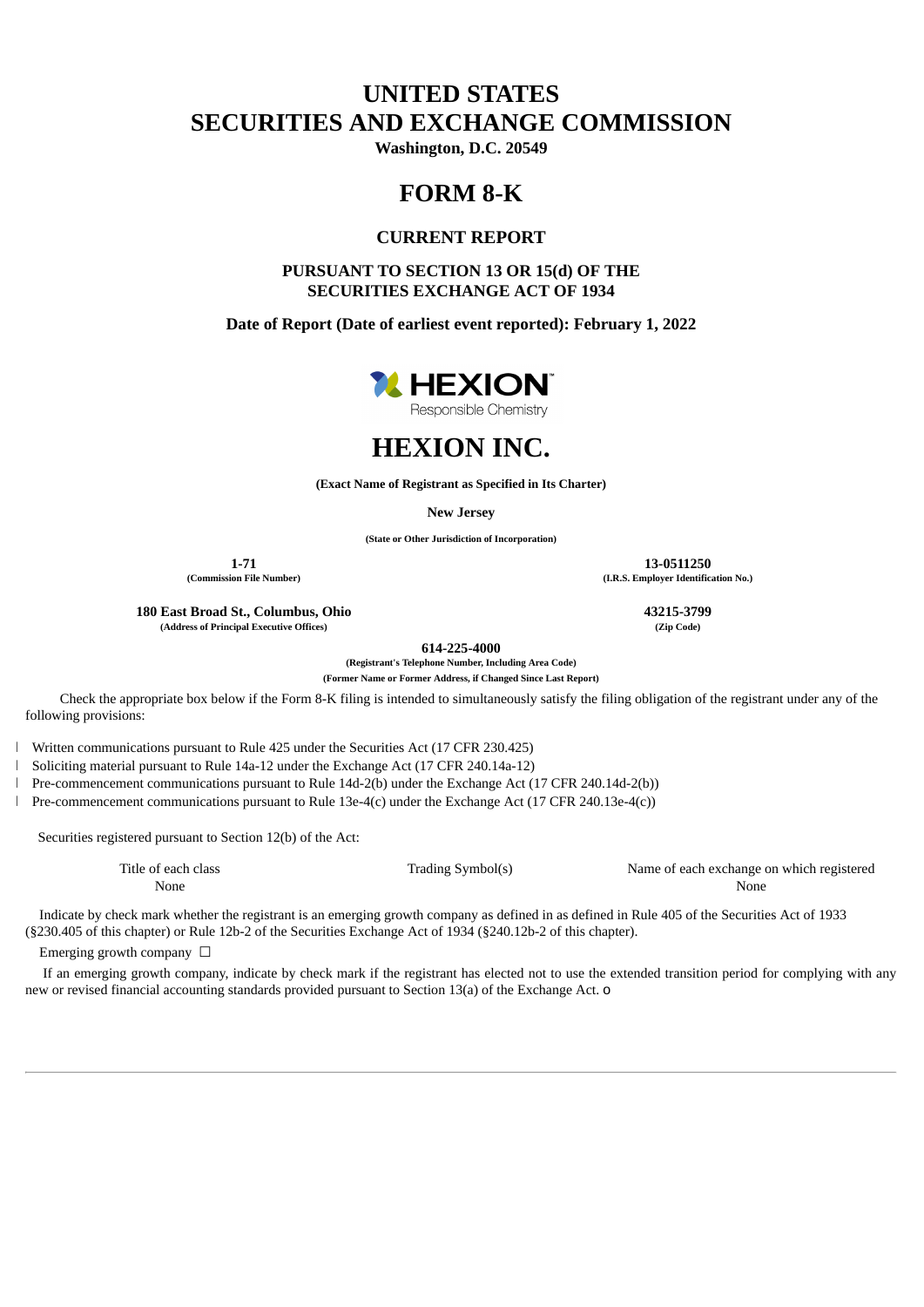# **UNITED STATES SECURITIES AND EXCHANGE COMMISSION**

**Washington, D.C. 20549**

## **FORM 8-K**

### **CURRENT REPORT**

### **PURSUANT TO SECTION 13 OR 15(d) OF THE SECURITIES EXCHANGE ACT OF 1934**

**Date of Report (Date of earliest event reported): February 1, 2022**



Responsible Chemistry



**(Exact Name of Registrant as Specified in Its Charter)**

**New Jersey**

**(State or Other Jurisdiction of Incorporation)**

**180 East Broad St., Columbus, Ohio 43215-3799 (Address of Principal Executive Offices) (Zip Code)**

**614-225-4000**

**(Registrant's Telephone Number, Including Area Code)**

**(Former Name or Former Address, if Changed Since Last Report)**

Check the appropriate box below if the Form 8-K filing is intended to simultaneously satisfy the filing obligation of the registrant under any of the following provisions:

Written communications pursuant to Rule 425 under the Securities Act (17 CFR 230.425)

Soliciting material pursuant to Rule 14a-12 under the Exchange Act (17 CFR 240.14a-12)

Pre-commencement communications pursuant to Rule 14d-2(b) under the Exchange Act (17 CFR 240.14d-2(b))

Pre-commencement communications pursuant to Rule 13e-4(c) under the Exchange Act (17 CFR 240.13e-4(c))

Securities registered pursuant to Section 12(b) of the Act:

Title of each class Trading Symbol(s) Name of each exchange on which registered None None

Indicate by check mark whether the registrant is an emerging growth company as defined in as defined in Rule 405 of the Securities Act of 1933 (§230.405 of this chapter) or Rule 12b-2 of the Securities Exchange Act of 1934 (§240.12b-2 of this chapter).

Emerging growth company  $\Box$ 

If an emerging growth company, indicate by check mark if the registrant has elected not to use the extended transition period for complying with any new or revised financial accounting standards provided pursuant to Section 13(a) of the Exchange Act. o

**1-71 13-0511250 (Commission File Number) (I.R.S. Employer Identification No.)**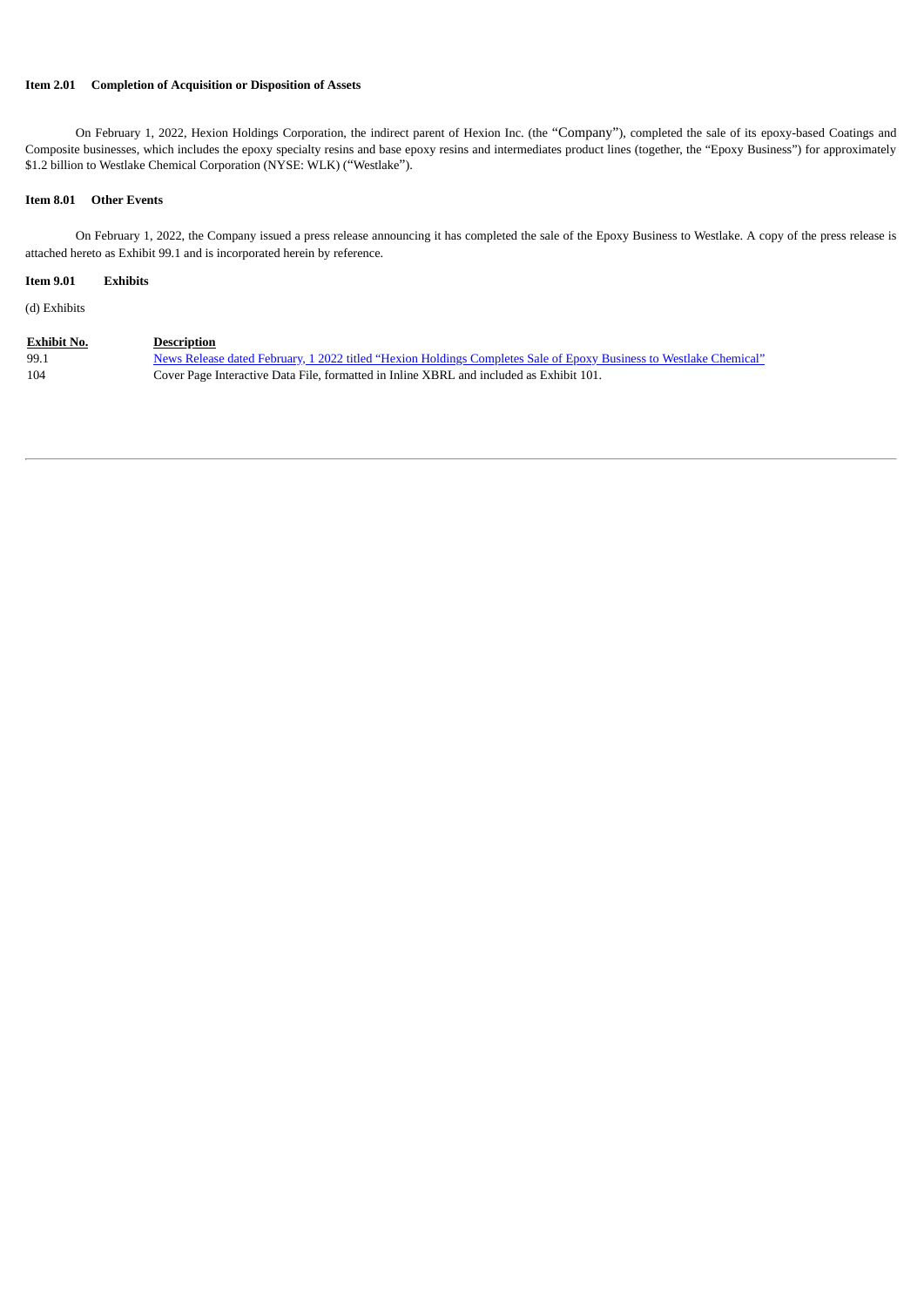### **Item 2.01 Completion of Acquisition or Disposition of Assets**

On February 1, 2022, Hexion Holdings Corporation, the indirect parent of Hexion Inc. (the "Company"), completed the sale of its epoxy-based Coatings and Composite businesses, which includes the epoxy specialty resins and base epoxy resins and intermediates product lines (together, the "Epoxy Business") for approximately \$1.2 billion to Westlake Chemical Corporation (NYSE: WLK) ("Westlake").

### **Item 8.01 Other Events**

On February 1, 2022, the Company issued a press release announcing it has completed the sale of the Epoxy Business to Westlake. A copy of the press release is attached hereto as Exhibit 99.1 and is incorporated herein by reference.

### **Item 9.01 Exhibits**

(d) Exhibits

| <b>Exhibit No.</b> | <b>Description</b>                                                                                                 |
|--------------------|--------------------------------------------------------------------------------------------------------------------|
| 99.1               | News Release dated February, 1 2022 titled "Hexion Holdings Completes Sale of Epoxy Business to Westlake Chemical" |
| 104                | Cover Page Interactive Data File, formatted in Inline XBRL and included as Exhibit 101.                            |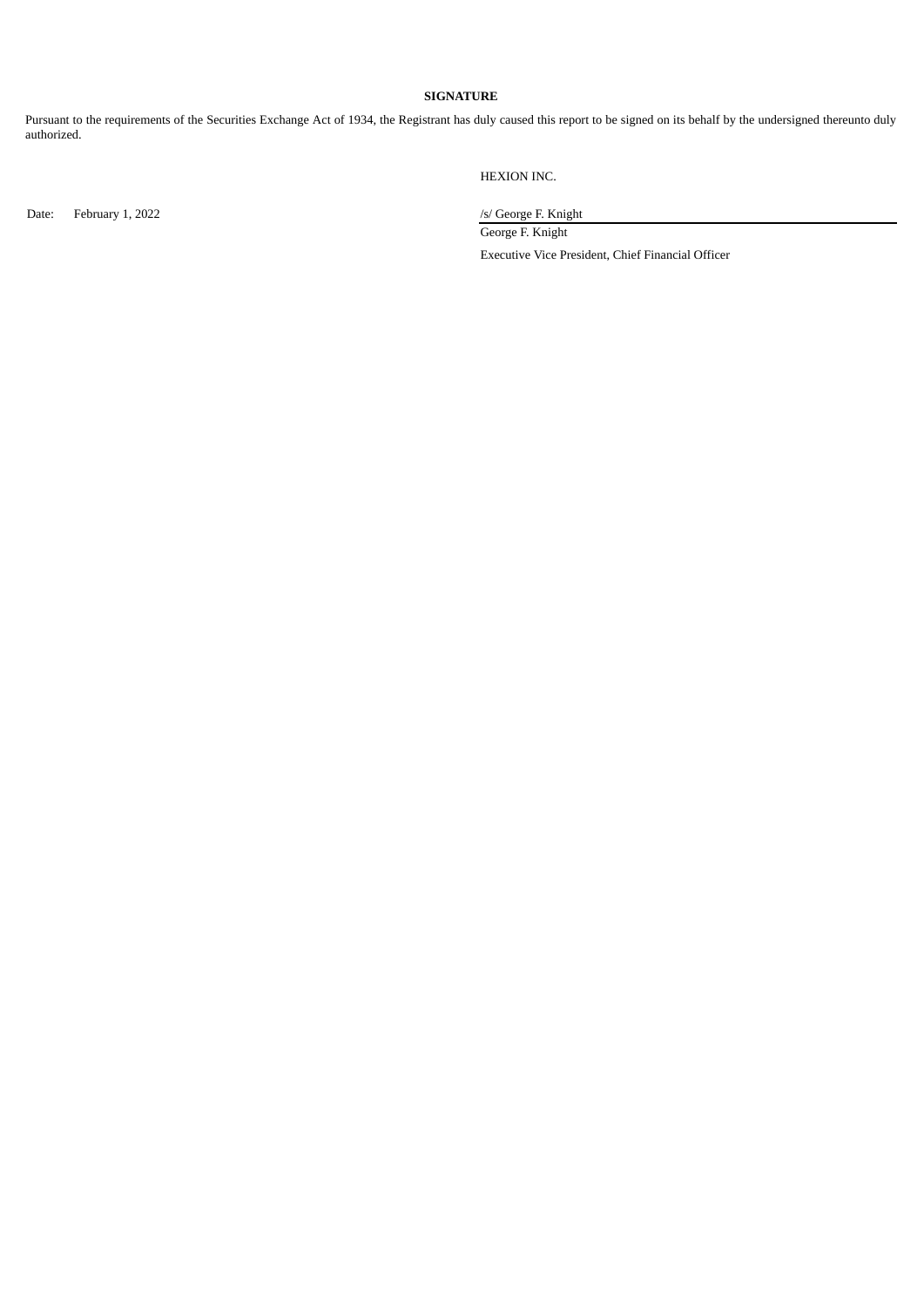### **SIGNATURE**

Pursuant to the requirements of the Securities Exchange Act of 1934, the Registrant has duly caused this report to be signed on its behalf by the undersigned thereunto duly authorized.

HEXION INC.

Date: February 1, 2022 75/ George F. Knight

George F. Knight

Executive Vice President, Chief Financial Officer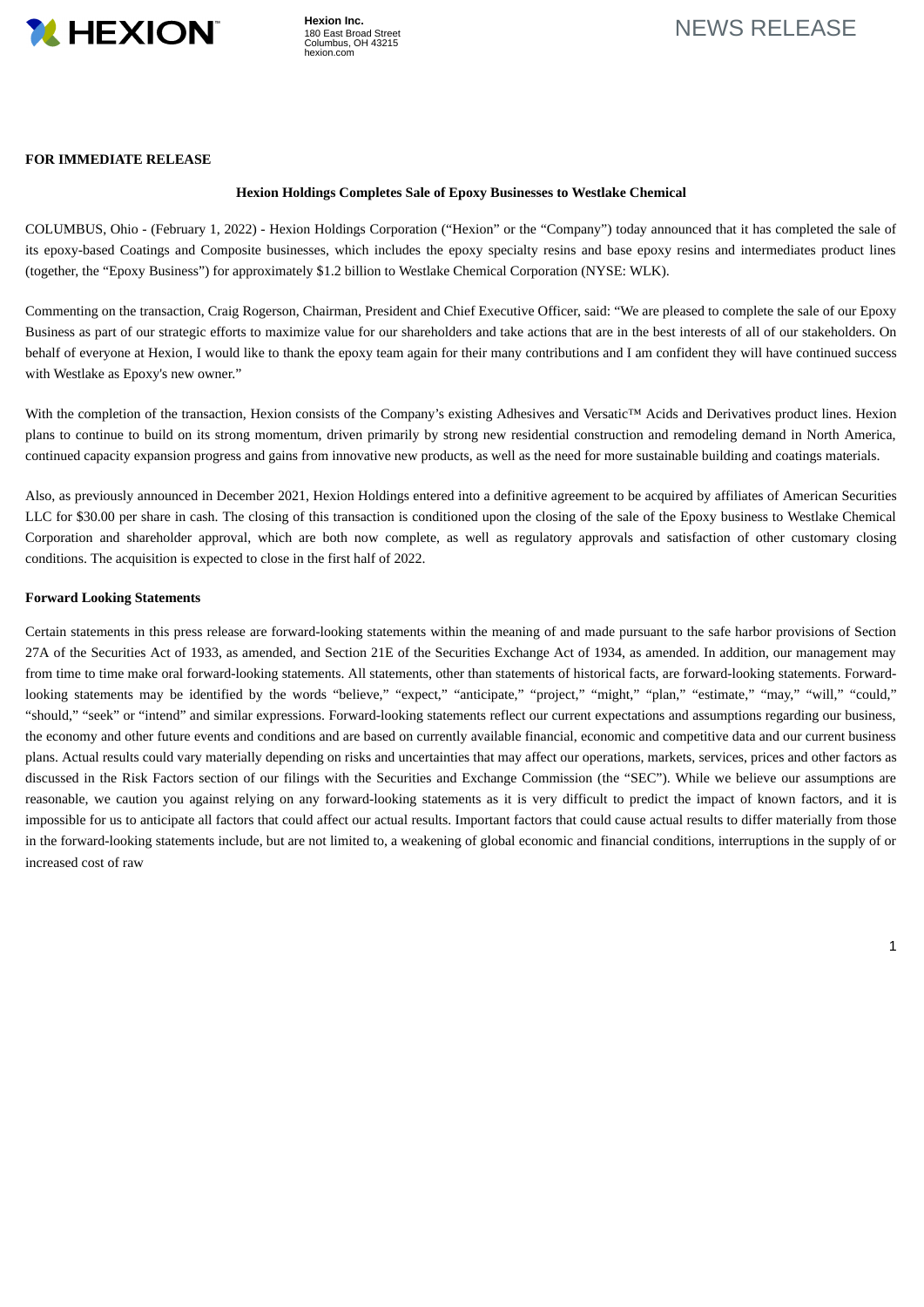<span id="page-3-0"></span>

**Hexion Inc.** 180 East Broad Street Columbus, OH 43215 hexion.com

## NEWS RELEASE

### **FOR IMMEDIATE RELEASE**

### **Hexion Holdings Completes Sale of Epoxy Businesses to Westlake Chemical**

COLUMBUS, Ohio - (February 1, 2022) - Hexion Holdings Corporation ("Hexion" or the "Company") today announced that it has completed the sale of its epoxy-based Coatings and Composite businesses, which includes the epoxy specialty resins and base epoxy resins and intermediates product lines (together, the "Epoxy Business") for approximately \$1.2 billion to Westlake Chemical Corporation (NYSE: WLK).

Commenting on the transaction, Craig Rogerson, Chairman, President and Chief Executive Officer, said: "We are pleased to complete the sale of our Epoxy Business as part of our strategic efforts to maximize value for our shareholders and take actions that are in the best interests of all of our stakeholders. On behalf of everyone at Hexion, I would like to thank the epoxy team again for their many contributions and I am confident they will have continued success with Westlake as Epoxy's new owner."

With the completion of the transaction, Hexion consists of the Company's existing Adhesives and Versatic™ Acids and Derivatives product lines. Hexion plans to continue to build on its strong momentum, driven primarily by strong new residential construction and remodeling demand in North America, continued capacity expansion progress and gains from innovative new products, as well as the need for more sustainable building and coatings materials.

Also, as previously announced in December 2021, Hexion Holdings entered into a definitive agreement to be acquired by affiliates of American Securities LLC for \$30.00 per share in cash. The closing of this transaction is conditioned upon the closing of the sale of the Epoxy business to Westlake Chemical Corporation and shareholder approval, which are both now complete, as well as regulatory approvals and satisfaction of other customary closing conditions. The acquisition is expected to close in the first half of 2022.

#### **Forward Looking Statements**

Certain statements in this press release are forward-looking statements within the meaning of and made pursuant to the safe harbor provisions of Section 27A of the Securities Act of 1933, as amended, and Section 21E of the Securities Exchange Act of 1934, as amended. In addition, our management may from time to time make oral forward-looking statements. All statements, other than statements of historical facts, are forward-looking statements. Forwardlooking statements may be identified by the words "believe," "expect," "anticipate," "project," "might," "plan," "estimate," "may," "will," "could," "should," "seek" or "intend" and similar expressions. Forward-looking statements reflect our current expectations and assumptions regarding our business, the economy and other future events and conditions and are based on currently available financial, economic and competitive data and our current business plans. Actual results could vary materially depending on risks and uncertainties that may affect our operations, markets, services, prices and other factors as discussed in the Risk Factors section of our filings with the Securities and Exchange Commission (the "SEC"). While we believe our assumptions are reasonable, we caution you against relying on any forward-looking statements as it is very difficult to predict the impact of known factors, and it is impossible for us to anticipate all factors that could affect our actual results. Important factors that could cause actual results to differ materially from those in the forward-looking statements include, but are not limited to, a weakening of global economic and financial conditions, interruptions in the supply of or increased cost of raw